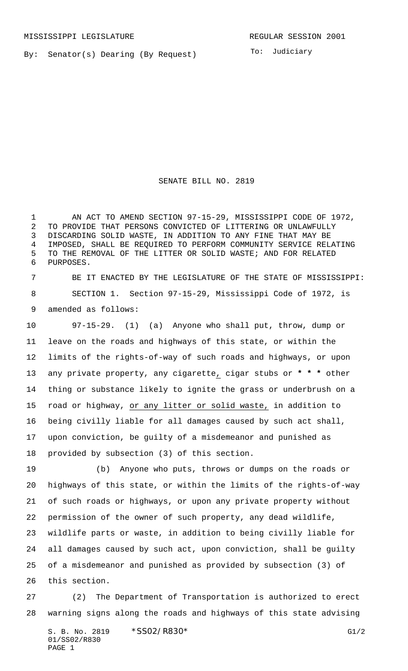By: Senator(s) Dearing (By Request)

To: Judiciary

SENATE BILL NO. 2819

 AN ACT TO AMEND SECTION 97-15-29, MISSISSIPPI CODE OF 1972, TO PROVIDE THAT PERSONS CONVICTED OF LITTERING OR UNLAWFULLY DISCARDING SOLID WASTE, IN ADDITION TO ANY FINE THAT MAY BE IMPOSED, SHALL BE REQUIRED TO PERFORM COMMUNITY SERVICE RELATING TO THE REMOVAL OF THE LITTER OR SOLID WASTE; AND FOR RELATED PURPOSES.

 BE IT ENACTED BY THE LEGISLATURE OF THE STATE OF MISSISSIPPI: SECTION 1. Section 97-15-29, Mississippi Code of 1972, is amended as follows:

 97-15-29. (1) (a) Anyone who shall put, throw, dump or leave on the roads and highways of this state, or within the limits of the rights-of-way of such roads and highways, or upon any private property, any cigarette, cigar stubs or **\* \* \*** other thing or substance likely to ignite the grass or underbrush on a road or highway, or any litter or solid waste, in addition to being civilly liable for all damages caused by such act shall, upon conviction, be guilty of a misdemeanor and punished as provided by subsection (3) of this section.

 (b) Anyone who puts, throws or dumps on the roads or highways of this state, or within the limits of the rights-of-way of such roads or highways, or upon any private property without permission of the owner of such property, any dead wildlife, wildlife parts or waste, in addition to being civilly liable for all damages caused by such act, upon conviction, shall be guilty of a misdemeanor and punished as provided by subsection (3) of this section.

 (2) The Department of Transportation is authorized to erect warning signs along the roads and highways of this state advising

S. B. No. 2819 \* SSO2/R830\* G1/2 01/SS02/R830 PAGE 1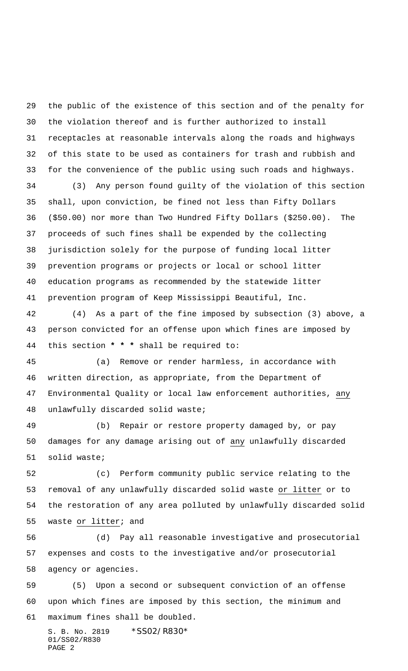the public of the existence of this section and of the penalty for the violation thereof and is further authorized to install receptacles at reasonable intervals along the roads and highways of this state to be used as containers for trash and rubbish and for the convenience of the public using such roads and highways.

 (3) Any person found guilty of the violation of this section shall, upon conviction, be fined not less than Fifty Dollars (\$50.00) nor more than Two Hundred Fifty Dollars (\$250.00). The proceeds of such fines shall be expended by the collecting jurisdiction solely for the purpose of funding local litter prevention programs or projects or local or school litter education programs as recommended by the statewide litter prevention program of Keep Mississippi Beautiful, Inc.

 (4) As a part of the fine imposed by subsection (3) above, a person convicted for an offense upon which fines are imposed by this section **\* \* \*** shall be required to:

 (a) Remove or render harmless, in accordance with written direction, as appropriate, from the Department of Environmental Quality or local law enforcement authorities, any unlawfully discarded solid waste;

 (b) Repair or restore property damaged by, or pay damages for any damage arising out of any unlawfully discarded solid waste;

 (c) Perform community public service relating to the removal of any unlawfully discarded solid waste or litter or to the restoration of any area polluted by unlawfully discarded solid waste or litter; and

 (d) Pay all reasonable investigative and prosecutorial expenses and costs to the investigative and/or prosecutorial agency or agencies.

 (5) Upon a second or subsequent conviction of an offense upon which fines are imposed by this section, the minimum and maximum fines shall be doubled.

S. B. No. 2819 \* SS02/R830\* 01/SS02/R830 PAGE 2